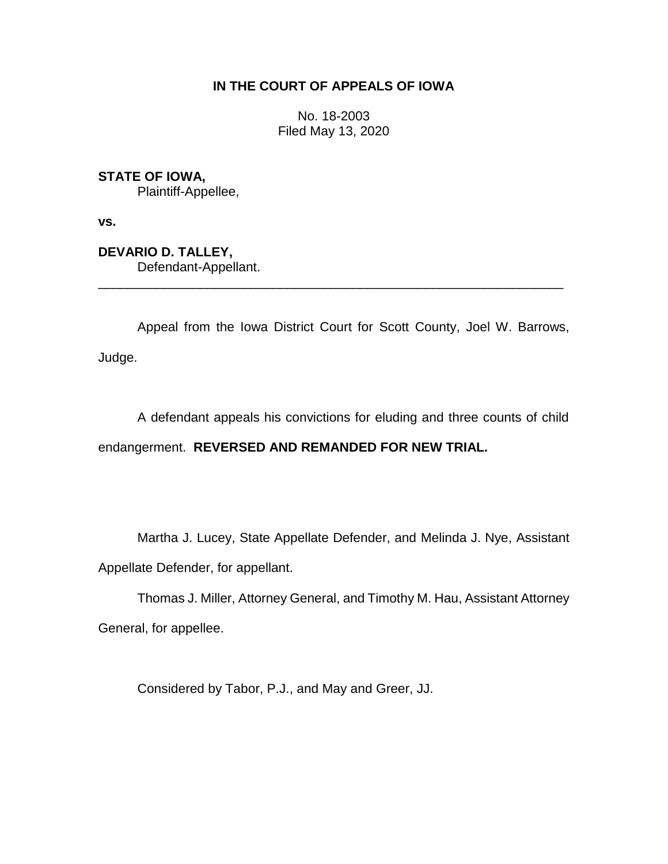# **IN THE COURT OF APPEALS OF IOWA**

No. 18-2003 Filed May 13, 2020

**STATE OF IOWA,**

Plaintiff-Appellee,

**vs.**

**DEVARIO D. TALLEY,** Defendant-Appellant.

Appeal from the Iowa District Court for Scott County, Joel W. Barrows, Judge.

\_\_\_\_\_\_\_\_\_\_\_\_\_\_\_\_\_\_\_\_\_\_\_\_\_\_\_\_\_\_\_\_\_\_\_\_\_\_\_\_\_\_\_\_\_\_\_\_\_\_\_\_\_\_\_\_\_\_\_\_\_\_\_\_

A defendant appeals his convictions for eluding and three counts of child endangerment. **REVERSED AND REMANDED FOR NEW TRIAL.**

Martha J. Lucey, State Appellate Defender, and Melinda J. Nye, Assistant Appellate Defender, for appellant.

Thomas J. Miller, Attorney General, and Timothy M. Hau, Assistant Attorney General, for appellee.

Considered by Tabor, P.J., and May and Greer, JJ.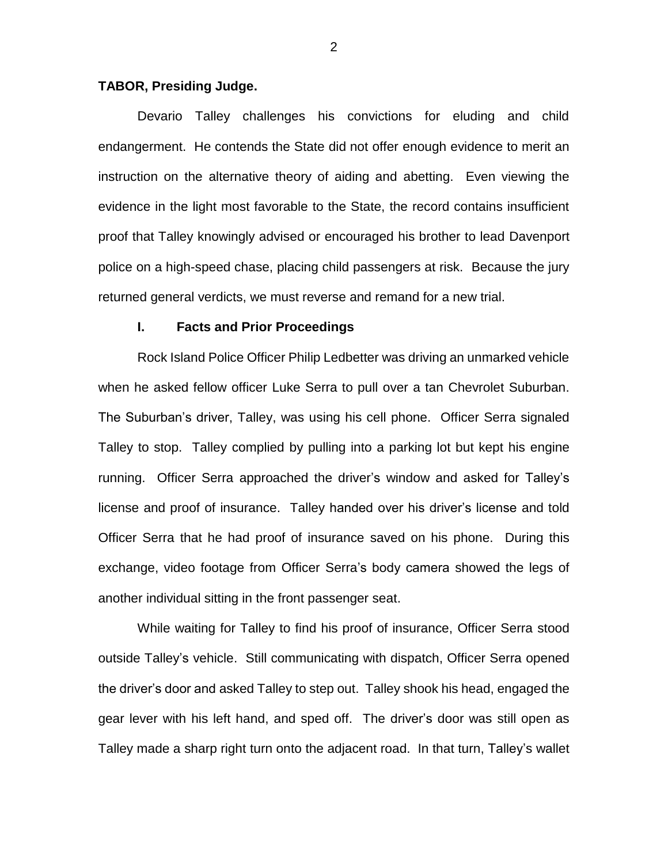### **TABOR, Presiding Judge.**

Devario Talley challenges his convictions for eluding and child endangerment. He contends the State did not offer enough evidence to merit an instruction on the alternative theory of aiding and abetting. Even viewing the evidence in the light most favorable to the State, the record contains insufficient proof that Talley knowingly advised or encouraged his brother to lead Davenport police on a high-speed chase, placing child passengers at risk. Because the jury returned general verdicts, we must reverse and remand for a new trial.

#### **I. Facts and Prior Proceedings**

Rock Island Police Officer Philip Ledbetter was driving an unmarked vehicle when he asked fellow officer Luke Serra to pull over a tan Chevrolet Suburban. The Suburban's driver, Talley, was using his cell phone. Officer Serra signaled Talley to stop. Talley complied by pulling into a parking lot but kept his engine running. Officer Serra approached the driver's window and asked for Talley's license and proof of insurance. Talley handed over his driver's license and told Officer Serra that he had proof of insurance saved on his phone. During this exchange, video footage from Officer Serra's body camera showed the legs of another individual sitting in the front passenger seat.

While waiting for Talley to find his proof of insurance, Officer Serra stood outside Talley's vehicle. Still communicating with dispatch, Officer Serra opened the driver's door and asked Talley to step out. Talley shook his head, engaged the gear lever with his left hand, and sped off. The driver's door was still open as Talley made a sharp right turn onto the adjacent road. In that turn, Talley's wallet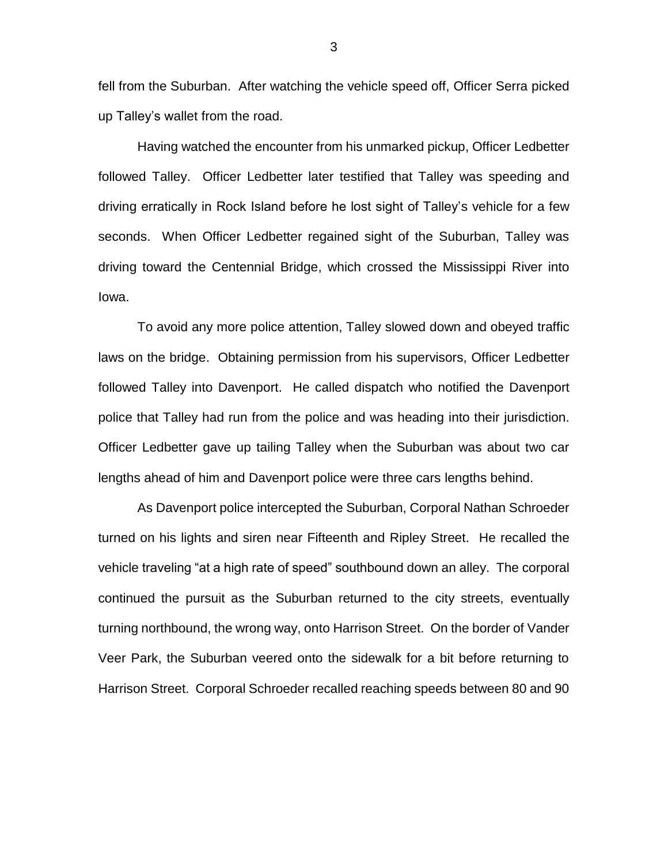fell from the Suburban. After watching the vehicle speed off, Officer Serra picked up Talley's wallet from the road.

Having watched the encounter from his unmarked pickup, Officer Ledbetter followed Talley. Officer Ledbetter later testified that Talley was speeding and driving erratically in Rock Island before he lost sight of Talley's vehicle for a few seconds. When Officer Ledbetter regained sight of the Suburban, Talley was driving toward the Centennial Bridge, which crossed the Mississippi River into Iowa.

To avoid any more police attention, Talley slowed down and obeyed traffic laws on the bridge. Obtaining permission from his supervisors, Officer Ledbetter followed Talley into Davenport. He called dispatch who notified the Davenport police that Talley had run from the police and was heading into their jurisdiction. Officer Ledbetter gave up tailing Talley when the Suburban was about two car lengths ahead of him and Davenport police were three cars lengths behind.

As Davenport police intercepted the Suburban, Corporal Nathan Schroeder turned on his lights and siren near Fifteenth and Ripley Street. He recalled the vehicle traveling "at a high rate of speed" southbound down an alley. The corporal continued the pursuit as the Suburban returned to the city streets, eventually turning northbound, the wrong way, onto Harrison Street. On the border of Vander Veer Park, the Suburban veered onto the sidewalk for a bit before returning to Harrison Street. Corporal Schroeder recalled reaching speeds between 80 and 90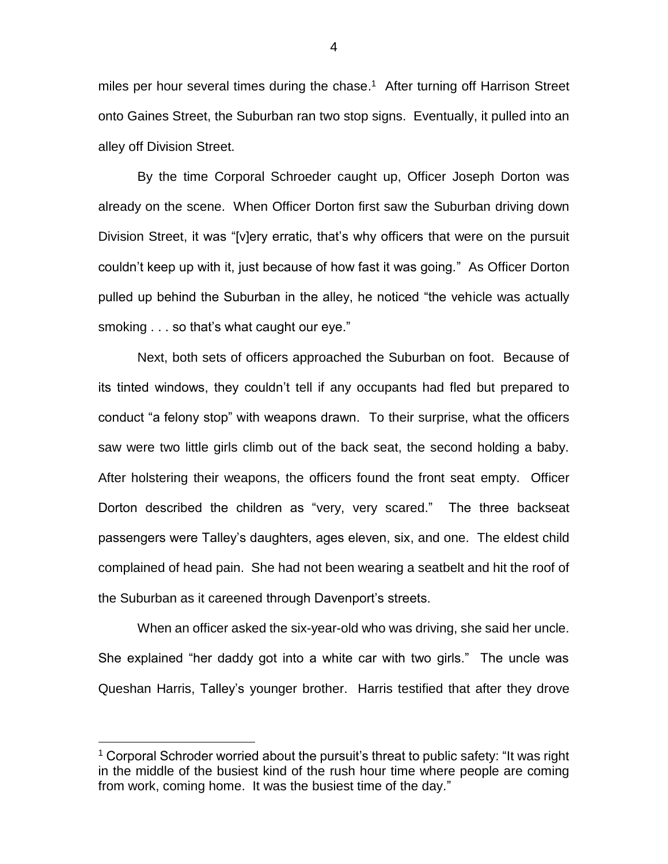miles per hour several times during the chase. 1 After turning off Harrison Street onto Gaines Street, the Suburban ran two stop signs. Eventually, it pulled into an alley off Division Street.

By the time Corporal Schroeder caught up, Officer Joseph Dorton was already on the scene. When Officer Dorton first saw the Suburban driving down Division Street, it was "[v]ery erratic, that's why officers that were on the pursuit couldn't keep up with it, just because of how fast it was going." As Officer Dorton pulled up behind the Suburban in the alley, he noticed "the vehicle was actually smoking . . . so that's what caught our eye."

Next, both sets of officers approached the Suburban on foot. Because of its tinted windows, they couldn't tell if any occupants had fled but prepared to conduct "a felony stop" with weapons drawn. To their surprise, what the officers saw were two little girls climb out of the back seat, the second holding a baby. After holstering their weapons, the officers found the front seat empty. Officer Dorton described the children as "very, very scared." The three backseat passengers were Talley's daughters, ages eleven, six, and one. The eldest child complained of head pain. She had not been wearing a seatbelt and hit the roof of the Suburban as it careened through Davenport's streets.

When an officer asked the six-year-old who was driving, she said her uncle. She explained "her daddy got into a white car with two girls." The uncle was Queshan Harris, Talley's younger brother. Harris testified that after they drove

 $\overline{a}$ 

 $1$  Corporal Schroder worried about the pursuit's threat to public safety: "It was right in the middle of the busiest kind of the rush hour time where people are coming from work, coming home. It was the busiest time of the day."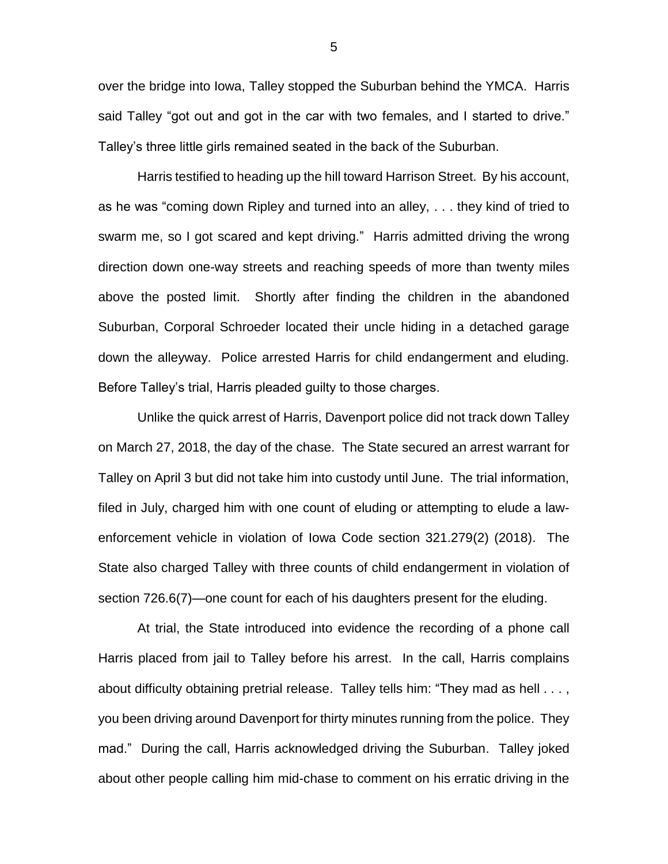over the bridge into Iowa, Talley stopped the Suburban behind the YMCA. Harris said Talley "got out and got in the car with two females, and I started to drive." Talley's three little girls remained seated in the back of the Suburban.

Harris testified to heading up the hill toward Harrison Street. By his account, as he was "coming down Ripley and turned into an alley, . . . they kind of tried to swarm me, so I got scared and kept driving." Harris admitted driving the wrong direction down one-way streets and reaching speeds of more than twenty miles above the posted limit. Shortly after finding the children in the abandoned Suburban, Corporal Schroeder located their uncle hiding in a detached garage down the alleyway. Police arrested Harris for child endangerment and eluding. Before Talley's trial, Harris pleaded guilty to those charges.

Unlike the quick arrest of Harris, Davenport police did not track down Talley on March 27, 2018, the day of the chase. The State secured an arrest warrant for Talley on April 3 but did not take him into custody until June. The trial information, filed in July, charged him with one count of eluding or attempting to elude a lawenforcement vehicle in violation of Iowa Code section 321.279(2) (2018). The State also charged Talley with three counts of child endangerment in violation of section 726.6(7)—one count for each of his daughters present for the eluding.

At trial, the State introduced into evidence the recording of a phone call Harris placed from jail to Talley before his arrest. In the call, Harris complains about difficulty obtaining pretrial release. Talley tells him: "They mad as hell . . . , you been driving around Davenport for thirty minutes running from the police. They mad." During the call, Harris acknowledged driving the Suburban. Talley joked about other people calling him mid-chase to comment on his erratic driving in the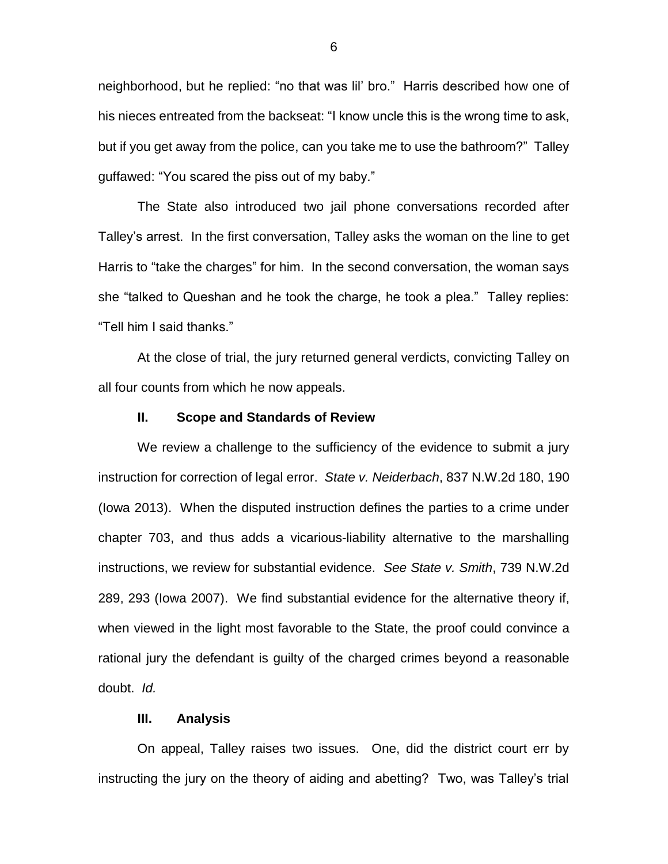neighborhood, but he replied: "no that was lil' bro." Harris described how one of his nieces entreated from the backseat: "I know uncle this is the wrong time to ask, but if you get away from the police, can you take me to use the bathroom?" Talley guffawed: "You scared the piss out of my baby."

The State also introduced two jail phone conversations recorded after Talley's arrest. In the first conversation, Talley asks the woman on the line to get Harris to "take the charges" for him. In the second conversation, the woman says she "talked to Queshan and he took the charge, he took a plea." Talley replies: "Tell him I said thanks."

At the close of trial, the jury returned general verdicts, convicting Talley on all four counts from which he now appeals.

#### **II. Scope and Standards of Review**

We review a challenge to the sufficiency of the evidence to submit a jury instruction for correction of legal error. *State v. Neiderbach*, 837 N.W.2d 180, 190 (Iowa 2013). When the disputed instruction defines the parties to a crime under chapter 703, and thus adds a vicarious-liability alternative to the marshalling instructions, we review for substantial evidence. *See State v. Smith*, 739 N.W.2d 289, 293 (Iowa 2007). We find substantial evidence for the alternative theory if, when viewed in the light most favorable to the State, the proof could convince a rational jury the defendant is guilty of the charged crimes beyond a reasonable doubt. *Id.*

## **III. Analysis**

On appeal, Talley raises two issues. One, did the district court err by instructing the jury on the theory of aiding and abetting? Two, was Talley's trial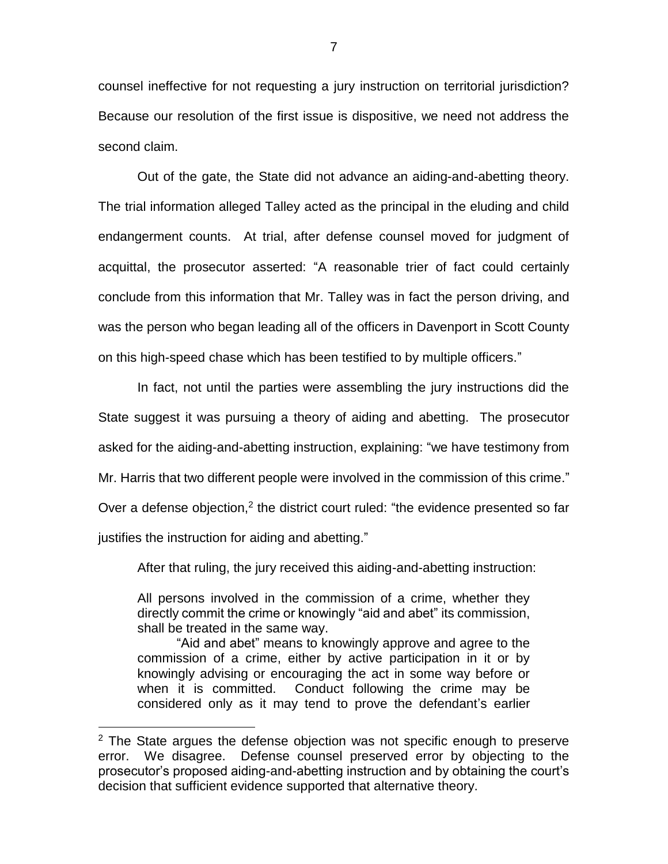counsel ineffective for not requesting a jury instruction on territorial jurisdiction? Because our resolution of the first issue is dispositive, we need not address the second claim.

Out of the gate, the State did not advance an aiding-and-abetting theory. The trial information alleged Talley acted as the principal in the eluding and child endangerment counts. At trial, after defense counsel moved for judgment of acquittal, the prosecutor asserted: "A reasonable trier of fact could certainly conclude from this information that Mr. Talley was in fact the person driving, and was the person who began leading all of the officers in Davenport in Scott County on this high-speed chase which has been testified to by multiple officers."

In fact, not until the parties were assembling the jury instructions did the State suggest it was pursuing a theory of aiding and abetting. The prosecutor asked for the aiding-and-abetting instruction, explaining: "we have testimony from Mr. Harris that two different people were involved in the commission of this crime." Over a defense objection,<sup>2</sup> the district court ruled: "the evidence presented so far justifies the instruction for aiding and abetting."

After that ruling, the jury received this aiding-and-abetting instruction:

All persons involved in the commission of a crime, whether they directly commit the crime or knowingly "aid and abet" its commission, shall be treated in the same way.

"Aid and abet" means to knowingly approve and agree to the commission of a crime, either by active participation in it or by knowingly advising or encouraging the act in some way before or when it is committed. Conduct following the crime may be considered only as it may tend to prove the defendant's earlier

 $\overline{a}$ 

 $2$  The State argues the defense objection was not specific enough to preserve error. We disagree. Defense counsel preserved error by objecting to the prosecutor's proposed aiding-and-abetting instruction and by obtaining the court's decision that sufficient evidence supported that alternative theory.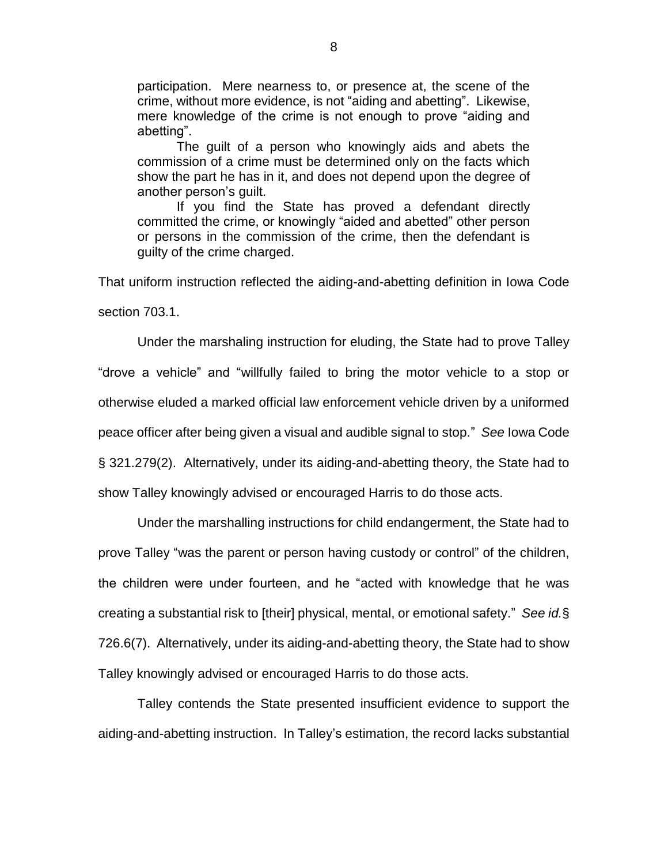participation. Mere nearness to, or presence at, the scene of the crime, without more evidence, is not "aiding and abetting". Likewise, mere knowledge of the crime is not enough to prove "aiding and abetting".

The guilt of a person who knowingly aids and abets the commission of a crime must be determined only on the facts which show the part he has in it, and does not depend upon the degree of another person's guilt.

If you find the State has proved a defendant directly committed the crime, or knowingly "aided and abetted" other person or persons in the commission of the crime, then the defendant is guilty of the crime charged.

That uniform instruction reflected the aiding-and-abetting definition in Iowa Code

section 703.1.

Under the marshaling instruction for eluding, the State had to prove Talley "drove a vehicle" and "willfully failed to bring the motor vehicle to a stop or otherwise eluded a marked official law enforcement vehicle driven by a uniformed peace officer after being given a visual and audible signal to stop." *See* Iowa Code § 321.279(2). Alternatively, under its aiding-and-abetting theory, the State had to show Talley knowingly advised or encouraged Harris to do those acts.

Under the marshalling instructions for child endangerment, the State had to prove Talley "was the parent or person having custody or control" of the children, the children were under fourteen, and he "acted with knowledge that he was creating a substantial risk to [their] physical, mental, or emotional safety." *See id.*§ 726.6(7). Alternatively, under its aiding-and-abetting theory, the State had to show Talley knowingly advised or encouraged Harris to do those acts.

Talley contends the State presented insufficient evidence to support the aiding-and-abetting instruction. In Talley's estimation, the record lacks substantial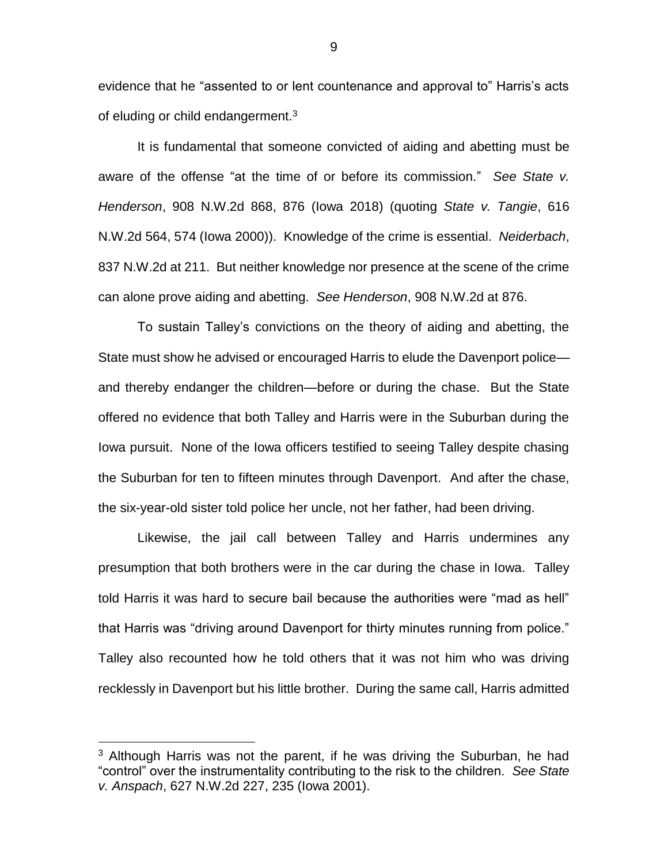evidence that he "assented to or lent countenance and approval to" Harris's acts of eluding or child endangerment.<sup>3</sup>

It is fundamental that someone convicted of aiding and abetting must be aware of the offense "at the time of or before its commission." *See State v. Henderson*, 908 N.W.2d 868, 876 (Iowa 2018) (quoting *State v. Tangie*, 616 N.W.2d 564, 574 (Iowa 2000)). Knowledge of the crime is essential. *Neiderbach*, 837 N.W.2d at 211. But neither knowledge nor presence at the scene of the crime can alone prove aiding and abetting. *See Henderson*, 908 N.W.2d at 876.

To sustain Talley's convictions on the theory of aiding and abetting, the State must show he advised or encouraged Harris to elude the Davenport police and thereby endanger the children—before or during the chase. But the State offered no evidence that both Talley and Harris were in the Suburban during the Iowa pursuit. None of the Iowa officers testified to seeing Talley despite chasing the Suburban for ten to fifteen minutes through Davenport. And after the chase, the six-year-old sister told police her uncle, not her father, had been driving.

Likewise, the jail call between Talley and Harris undermines any presumption that both brothers were in the car during the chase in Iowa. Talley told Harris it was hard to secure bail because the authorities were "mad as hell" that Harris was "driving around Davenport for thirty minutes running from police." Talley also recounted how he told others that it was not him who was driving recklessly in Davenport but his little brother. During the same call, Harris admitted

 $\overline{a}$ 

 $3$  Although Harris was not the parent, if he was driving the Suburban, he had "control" over the instrumentality contributing to the risk to the children. *See State v. Anspach*, 627 N.W.2d 227, 235 (Iowa 2001).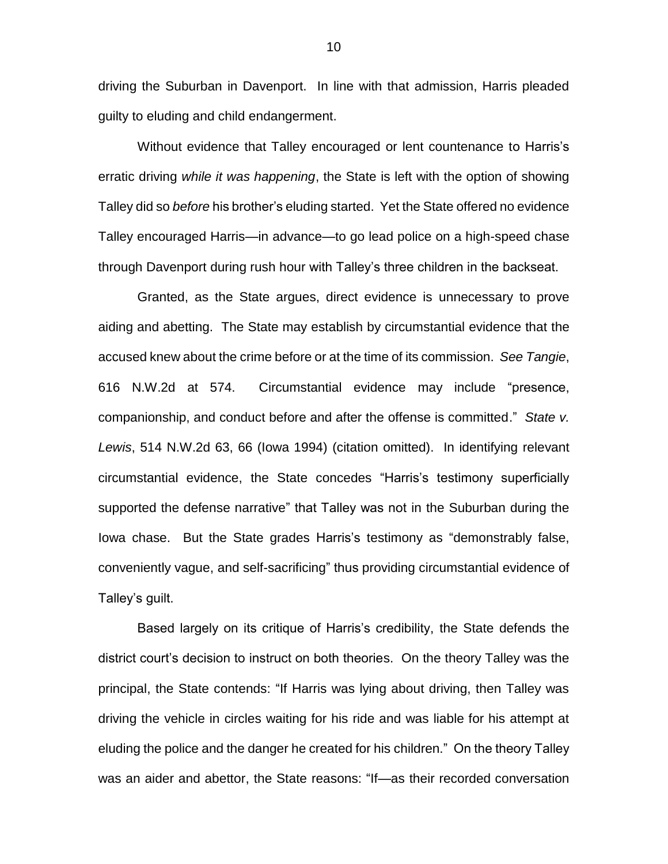driving the Suburban in Davenport. In line with that admission, Harris pleaded guilty to eluding and child endangerment.

Without evidence that Talley encouraged or lent countenance to Harris's erratic driving *while it was happening*, the State is left with the option of showing Talley did so *before* his brother's eluding started. Yet the State offered no evidence Talley encouraged Harris—in advance—to go lead police on a high-speed chase through Davenport during rush hour with Talley's three children in the backseat.

Granted, as the State argues, direct evidence is unnecessary to prove aiding and abetting. The State may establish by circumstantial evidence that the accused knew about the crime before or at the time of its commission. *See Tangie*, 616 N.W.2d at 574. Circumstantial evidence may include "presence, companionship, and conduct before and after the offense is committed." *State v. Lewis*, 514 N.W.2d 63, 66 (Iowa 1994) (citation omitted). In identifying relevant circumstantial evidence, the State concedes "Harris's testimony superficially supported the defense narrative" that Talley was not in the Suburban during the Iowa chase. But the State grades Harris's testimony as "demonstrably false, conveniently vague, and self-sacrificing" thus providing circumstantial evidence of Talley's guilt.

Based largely on its critique of Harris's credibility, the State defends the district court's decision to instruct on both theories. On the theory Talley was the principal, the State contends: "If Harris was lying about driving, then Talley was driving the vehicle in circles waiting for his ride and was liable for his attempt at eluding the police and the danger he created for his children." On the theory Talley was an aider and abettor, the State reasons: "If—as their recorded conversation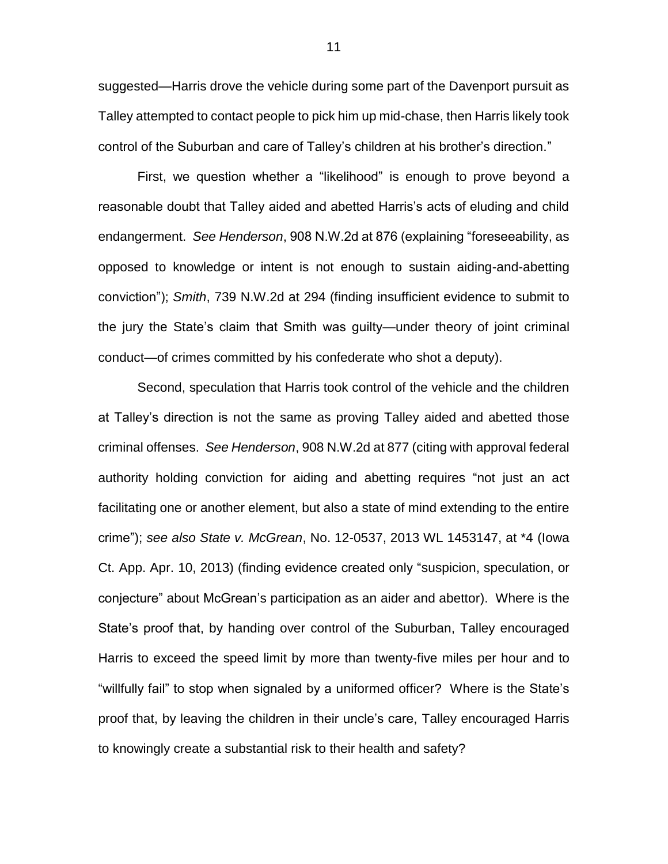suggested—Harris drove the vehicle during some part of the Davenport pursuit as Talley attempted to contact people to pick him up mid-chase, then Harris likely took control of the Suburban and care of Talley's children at his brother's direction."

First, we question whether a "likelihood" is enough to prove beyond a reasonable doubt that Talley aided and abetted Harris's acts of eluding and child endangerment. *See Henderson*, 908 N.W.2d at 876 (explaining "foreseeability, as opposed to knowledge or intent is not enough to sustain aiding-and-abetting conviction"); *Smith*, 739 N.W.2d at 294 (finding insufficient evidence to submit to the jury the State's claim that Smith was guilty—under theory of joint criminal conduct—of crimes committed by his confederate who shot a deputy).

Second, speculation that Harris took control of the vehicle and the children at Talley's direction is not the same as proving Talley aided and abetted those criminal offenses. *See Henderson*, 908 N.W.2d at 877 (citing with approval federal authority holding conviction for aiding and abetting requires "not just an act facilitating one or another element, but also a state of mind extending to the entire crime"); *see also State v. McGrean*, No. 12-0537, 2013 WL 1453147, at \*4 (Iowa Ct. App. Apr. 10, 2013) (finding evidence created only "suspicion, speculation, or conjecture" about McGrean's participation as an aider and abettor). Where is the State's proof that, by handing over control of the Suburban, Talley encouraged Harris to exceed the speed limit by more than twenty-five miles per hour and to "willfully fail" to stop when signaled by a uniformed officer? Where is the State's proof that, by leaving the children in their uncle's care, Talley encouraged Harris to knowingly create a substantial risk to their health and safety?